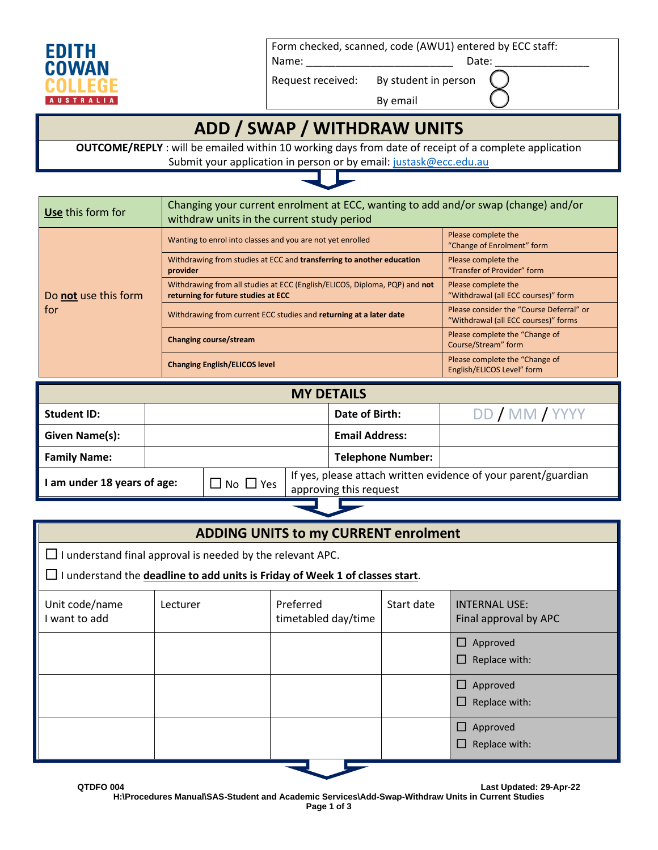

Form checked, scanned, code (AWU1) entered by ECC staff:

Name: \_\_\_\_\_\_\_\_\_\_\_\_\_\_\_\_\_\_\_\_\_\_\_\_\_ Date: \_\_\_\_\_\_\_\_\_\_\_\_\_\_\_\_

Request received: By student in person

By email

## **ADD / SWAP / WITHDRAW UNITS**

**OUTCOME/REPLY** : will be emailed within 10 working days from date of receipt of a complete application Submit your application in person or by email[: justask@ecc.edu.au](mailto:justask@ecc.edu.au)



| Use this form for    | Changing your current enrolment at ECC, wanting to add and/or swap (change) and/or<br>withdraw units in the current study period |                                                                                  |  |
|----------------------|----------------------------------------------------------------------------------------------------------------------------------|----------------------------------------------------------------------------------|--|
|                      | Wanting to enrol into classes and you are not yet enrolled                                                                       | Please complete the<br>"Change of Enrolment" form                                |  |
|                      | Withdrawing from studies at ECC and transferring to another education<br>provider                                                | Please complete the<br>"Transfer of Provider" form                               |  |
| Do not use this form | Withdrawing from all studies at ECC (English/ELICOS, Diploma, PQP) and not<br>returning for future studies at ECC                | Please complete the<br>"Withdrawal (all ECC courses)" form                       |  |
| for                  | Withdrawing from current ECC studies and returning at a later date                                                               | Please consider the "Course Deferral" or<br>"Withdrawal (all ECC courses)" forms |  |
|                      | Changing course/stream                                                                                                           | Please complete the "Change of<br>Course/Stream" form                            |  |
|                      | <b>Changing English/ELICOS level</b>                                                                                             | Please complete the "Change of<br>English/ELICOS Level" form                     |  |

| <b>MY DETAILS</b>         |                            |                                                                                          |                          |                |
|---------------------------|----------------------------|------------------------------------------------------------------------------------------|--------------------------|----------------|
| <b>Student ID:</b>        |                            |                                                                                          | Date of Birth:           | DD / MM / YYYY |
| Given Name(s):            |                            |                                                                                          | <b>Email Address:</b>    |                |
| <b>Family Name:</b>       |                            |                                                                                          | <b>Telephone Number:</b> |                |
| am under 18 years of age: | $\square$ No $\square$ Yes | If yes, please attach written evidence of your parent/guardian<br>approving this request |                          |                |
|                           |                            |                                                                                          |                          |                |

رىل

| <b>ADDING UNITS to my CURRENT enrolment</b>                                                                                                                      |          |                                  |            |                                               |  |
|------------------------------------------------------------------------------------------------------------------------------------------------------------------|----------|----------------------------------|------------|-----------------------------------------------|--|
| $\Box$ I understand final approval is needed by the relevant APC.<br>$\Box$ I understand the <b>deadline to add units is Friday of Week 1 of classes start</b> . |          |                                  |            |                                               |  |
| Unit code/name<br>I want to add                                                                                                                                  | Lecturer | Preferred<br>timetabled day/time | Start date | <b>INTERNAL USE:</b><br>Final approval by APC |  |
|                                                                                                                                                                  |          |                                  |            | $\Box$ Approved<br>Replace with:<br>ப         |  |
|                                                                                                                                                                  |          |                                  |            | Approved<br>ப<br>Replace with:<br>$\Box$      |  |
|                                                                                                                                                                  |          |                                  |            | Approved<br>ш<br>Replace with:                |  |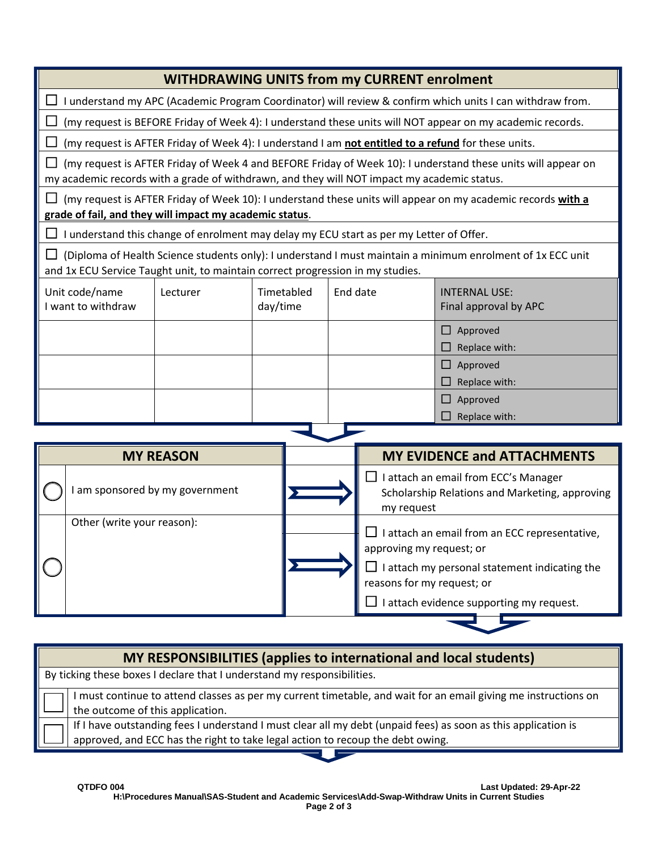| <b>WITHDRAWING UNITS from my CURRENT enrolment</b>                                                                                                                                                          |          |                        |                                                                                                     |                                                                                                           |
|-------------------------------------------------------------------------------------------------------------------------------------------------------------------------------------------------------------|----------|------------------------|-----------------------------------------------------------------------------------------------------|-----------------------------------------------------------------------------------------------------------|
| I understand my APC (Academic Program Coordinator) will review & confirm which units I can withdraw from.                                                                                                   |          |                        |                                                                                                     |                                                                                                           |
|                                                                                                                                                                                                             |          |                        |                                                                                                     | (my request is BEFORE Friday of Week 4): I understand these units will NOT appear on my academic records. |
|                                                                                                                                                                                                             |          |                        | (my request is AFTER Friday of Week 4): I understand I am not entitled to a refund for these units. |                                                                                                           |
| (my request is AFTER Friday of Week 4 and BEFORE Friday of Week 10): I understand these units will appear on<br>my academic records with a grade of withdrawn, and they will NOT impact my academic status. |          |                        |                                                                                                     |                                                                                                           |
| (my request is AFTER Friday of Week 10): I understand these units will appear on my academic records with a<br>grade of fail, and they will impact my academic status.                                      |          |                        |                                                                                                     |                                                                                                           |
|                                                                                                                                                                                                             |          |                        | I understand this change of enrolment may delay my ECU start as per my Letter of Offer.             |                                                                                                           |
| (Diploma of Health Science students only): I understand I must maintain a minimum enrolment of 1x ECC unit<br>ப<br>and 1x ECU Service Taught unit, to maintain correct progression in my studies.           |          |                        |                                                                                                     |                                                                                                           |
| Unit code/name<br>I want to withdraw                                                                                                                                                                        | Lecturer | Timetabled<br>day/time | End date                                                                                            | <b>INTERNAL USE:</b><br>Final approval by APC                                                             |
|                                                                                                                                                                                                             |          |                        |                                                                                                     | $\Box$ Approved<br>Replace with:<br>П                                                                     |
|                                                                                                                                                                                                             |          |                        |                                                                                                     | $\Box$ Approved                                                                                           |
|                                                                                                                                                                                                             |          |                        |                                                                                                     | Replace with:                                                                                             |
|                                                                                                                                                                                                             |          |                        |                                                                                                     | $\Box$ Approved                                                                                           |
|                                                                                                                                                                                                             |          |                        |                                                                                                     | $\Box$ Replace with:                                                                                      |

| <b>MY REASON</b> |                               |  | <b>MY EVIDENCE and ATTACHMENTS</b>                                                                                                                                                                   |  |
|------------------|-------------------------------|--|------------------------------------------------------------------------------------------------------------------------------------------------------------------------------------------------------|--|
|                  | am sponsored by my government |  | I attach an email from ECC's Manager<br>Scholarship Relations and Marketing, approving<br>my request                                                                                                 |  |
|                  | Other (write your reason):    |  | I attach an email from an ECC representative,<br>approving my request; or<br>I attach my personal statement indicating the<br>reasons for my request; or<br>I attach evidence supporting my request. |  |

| MY RESPONSIBILITIES (applies to international and local students)                                                                                                                               |  |  |
|-------------------------------------------------------------------------------------------------------------------------------------------------------------------------------------------------|--|--|
| $\parallel$ By ticking these boxes I declare that I understand my responsibilities.                                                                                                             |  |  |
| I must continue to attend classes as per my current timetable, and wait for an email giving me instructions on<br>the outcome of this application.                                              |  |  |
| If I have outstanding fees I understand I must clear all my debt (unpaid fees) as soon as this application is<br>approved, and ECC has the right to take legal action to recoup the debt owing. |  |  |